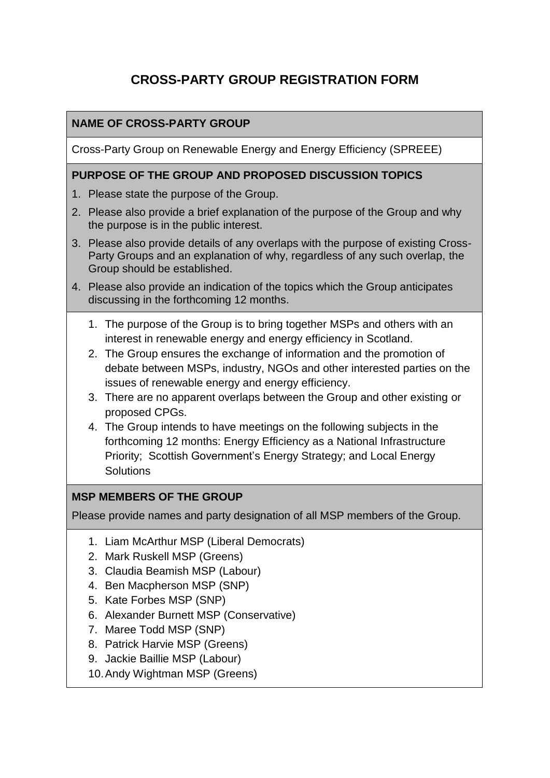# **CROSS-PARTY GROUP REGISTRATION FORM**

### **NAME OF CROSS-PARTY GROUP**

Cross-Party Group on Renewable Energy and Energy Efficiency (SPREEE)

### **PURPOSE OF THE GROUP AND PROPOSED DISCUSSION TOPICS**

- 1. Please state the purpose of the Group.
- 2. Please also provide a brief explanation of the purpose of the Group and why the purpose is in the public interest.
- 3. Please also provide details of any overlaps with the purpose of existing Cross-Party Groups and an explanation of why, regardless of any such overlap, the Group should be established.
- 4. Please also provide an indication of the topics which the Group anticipates discussing in the forthcoming 12 months.
	- 1. The purpose of the Group is to bring together MSPs and others with an interest in renewable energy and energy efficiency in Scotland.
	- 2. The Group ensures the exchange of information and the promotion of debate between MSPs, industry, NGOs and other interested parties on the issues of renewable energy and energy efficiency.
	- 3. There are no apparent overlaps between the Group and other existing or proposed CPGs.
	- 4. The Group intends to have meetings on the following subjects in the forthcoming 12 months: Energy Efficiency as a National Infrastructure Priority; Scottish Government's Energy Strategy; and Local Energy **Solutions**

### **MSP MEMBERS OF THE GROUP**

Please provide names and party designation of all MSP members of the Group.

- 1. Liam McArthur MSP (Liberal Democrats)
- 2. Mark Ruskell MSP (Greens)
- 3. Claudia Beamish MSP (Labour)
- 4. Ben Macpherson MSP (SNP)
- 5. Kate Forbes MSP (SNP)
- 6. Alexander Burnett MSP (Conservative)
- 7. Maree Todd MSP (SNP)
- 8. Patrick Harvie MSP (Greens)
- 9. Jackie Baillie MSP (Labour)
- 10.Andy Wightman MSP (Greens)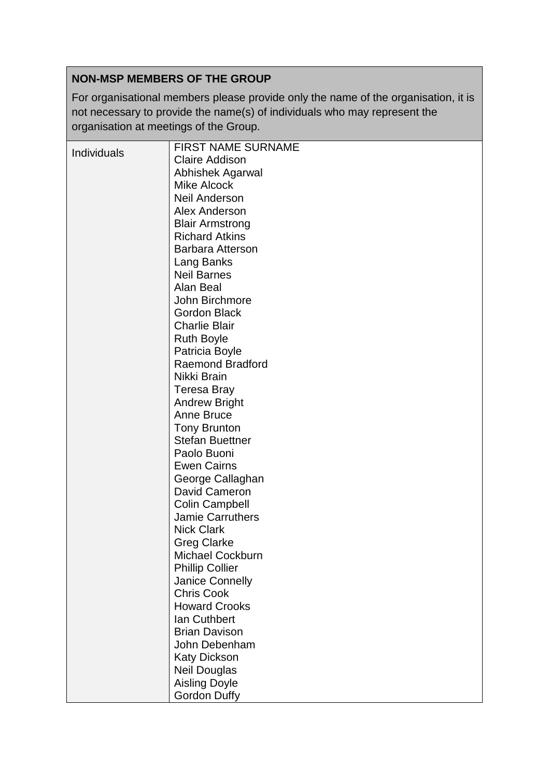## **NON-MSP MEMBERS OF THE GROUP**

For organisational members please provide only the name of the organisation, it is not necessary to provide the name(s) of individuals who may represent the organisation at meetings of the Group.

| Individuals             |  |
|-------------------------|--|
| <b>Claire Addison</b>   |  |
| <b>Abhishek Agarwal</b> |  |
| <b>Mike Alcock</b>      |  |
| <b>Neil Anderson</b>    |  |
| Alex Anderson           |  |
| <b>Blair Armstrong</b>  |  |
| <b>Richard Atkins</b>   |  |
| <b>Barbara Atterson</b> |  |
| Lang Banks              |  |
| <b>Neil Barnes</b>      |  |
| Alan Beal               |  |
| John Birchmore          |  |
| <b>Gordon Black</b>     |  |
| <b>Charlie Blair</b>    |  |
| <b>Ruth Boyle</b>       |  |
| Patricia Boyle          |  |
| <b>Raemond Bradford</b> |  |
| Nikki Brain             |  |
| Teresa Bray             |  |
| <b>Andrew Bright</b>    |  |
| Anne Bruce              |  |
| <b>Tony Brunton</b>     |  |
| <b>Stefan Buettner</b>  |  |
| Paolo Buoni             |  |
| <b>Ewen Cairns</b>      |  |
| George Callaghan        |  |
| David Cameron           |  |
| <b>Colin Campbell</b>   |  |
| <b>Jamie Carruthers</b> |  |
| <b>Nick Clark</b>       |  |
| <b>Greg Clarke</b>      |  |
| Michael Cockburn        |  |
| <b>Phillip Collier</b>  |  |
| <b>Janice Connelly</b>  |  |
| <b>Chris Cook</b>       |  |
| <b>Howard Crooks</b>    |  |
| <b>lan Cuthbert</b>     |  |
| <b>Brian Davison</b>    |  |
| John Debenham           |  |
| <b>Katy Dickson</b>     |  |
| <b>Neil Douglas</b>     |  |
| <b>Aisling Doyle</b>    |  |
| Gordon Duffy            |  |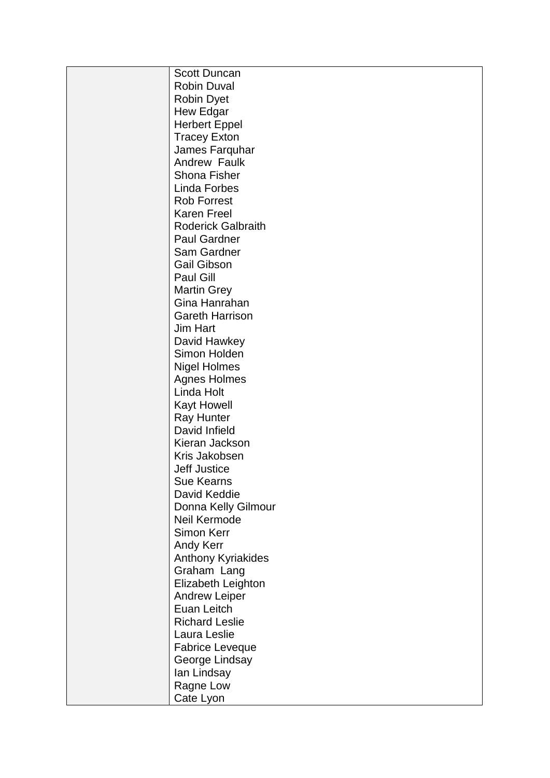| <b>Scott Duncan</b>       |
|---------------------------|
| <b>Robin Duval</b>        |
| <b>Robin Dyet</b>         |
| <b>Hew Edgar</b>          |
| <b>Herbert Eppel</b>      |
| <b>Tracey Exton</b>       |
| James Farquhar            |
| Andrew Faulk              |
| <b>Shona Fisher</b>       |
| <b>Linda Forbes</b>       |
| <b>Rob Forrest</b>        |
| <b>Karen Freel</b>        |
| <b>Roderick Galbraith</b> |
| <b>Paul Gardner</b>       |
| Sam Gardner               |
| <b>Gail Gibson</b>        |
| Paul Gill                 |
| <b>Martin Grey</b>        |
| Gina Hanrahan             |
| <b>Gareth Harrison</b>    |
| <b>Jim Hart</b>           |
| David Hawkey              |
| Simon Holden              |
| <b>Nigel Holmes</b>       |
| <b>Agnes Holmes</b>       |
| Linda Holt                |
| <b>Kayt Howell</b>        |
| <b>Ray Hunter</b>         |
| David Infield             |
| Kieran Jackson            |
| Kris Jakobsen             |
| <b>Jeff Justice</b>       |
| Sue Kearns                |
| David Keddie              |
| Donna Kelly Gilmour       |
| Neil Kermode              |
| Simon Kerr                |
| <b>Andy Kerr</b>          |
| Anthony Kyriakides        |
| Graham Lang               |
| Elizabeth Leighton        |
| <b>Andrew Leiper</b>      |
| Euan Leitch               |
| <b>Richard Leslie</b>     |
| Laura Leslie              |
| <b>Fabrice Leveque</b>    |
| George Lindsay            |
| lan Lindsay               |
| Ragne Low                 |
| Cate Lyon                 |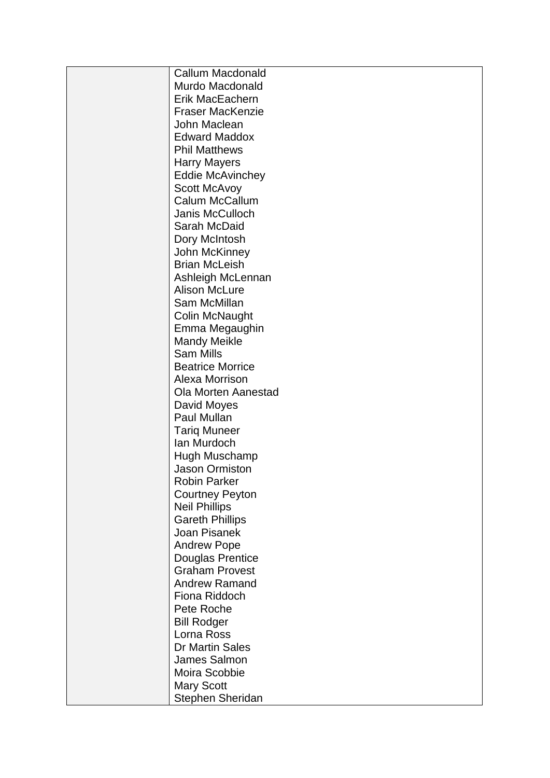| <b>Callum Macdonald</b>    |
|----------------------------|
| Murdo Macdonald            |
| Erik MacEachern            |
| <b>Fraser MacKenzie</b>    |
| John Maclean               |
| <b>Edward Maddox</b>       |
| <b>Phil Matthews</b>       |
| <b>Harry Mayers</b>        |
| <b>Eddie McAvinchey</b>    |
| <b>Scott McAvoy</b>        |
| Calum McCallum             |
| Janis McCulloch            |
| Sarah McDaid               |
| Dory McIntosh              |
| John McKinney              |
| <b>Brian McLeish</b>       |
| Ashleigh McLennan          |
| <b>Alison McLure</b>       |
| Sam McMillan               |
| <b>Colin McNaught</b>      |
| Emma Megaughin             |
| <b>Mandy Meikle</b>        |
| <b>Sam Mills</b>           |
| <b>Beatrice Morrice</b>    |
| Alexa Morrison             |
| <b>Ola Morten Aanestad</b> |
| David Moyes                |
| Paul Mullan                |
| <b>Tarig Muneer</b>        |
| lan Murdoch                |
| Hugh Muschamp              |
| <b>Jason Ormiston</b>      |
| Robin Parker               |
| <b>Courtney Peyton</b>     |
| <b>Neil Phillips</b>       |
| <b>Gareth Phillips</b>     |
| Joan Pisanek               |
| <b>Andrew Pope</b>         |
| <b>Douglas Prentice</b>    |
| <b>Graham Provest</b>      |
| <b>Andrew Ramand</b>       |
| Fiona Riddoch              |
| Pete Roche                 |
| <b>Bill Rodger</b>         |
| Lorna Ross                 |
| <b>Dr Martin Sales</b>     |
| James Salmon               |
| Moira Scobbie              |
| <b>Mary Scott</b>          |
| Stephen Sheridan           |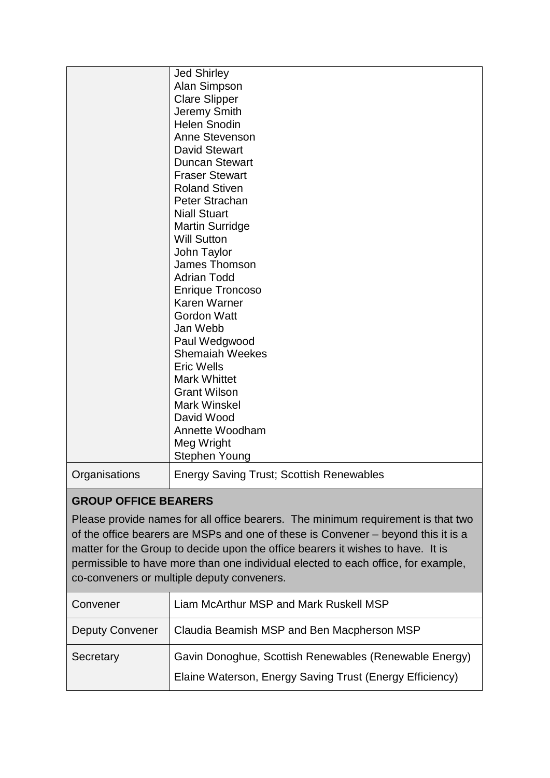|                             | <b>Jed Shirley</b>                                                                |
|-----------------------------|-----------------------------------------------------------------------------------|
|                             | Alan Simpson                                                                      |
|                             | <b>Clare Slipper</b>                                                              |
|                             | Jeremy Smith                                                                      |
|                             | <b>Helen Snodin</b>                                                               |
|                             | Anne Stevenson                                                                    |
|                             | <b>David Stewart</b>                                                              |
|                             | <b>Duncan Stewart</b>                                                             |
|                             | <b>Fraser Stewart</b>                                                             |
|                             | <b>Roland Stiven</b>                                                              |
|                             | Peter Strachan                                                                    |
|                             | <b>Niall Stuart</b>                                                               |
|                             | <b>Martin Surridge</b>                                                            |
|                             | <b>Will Sutton</b>                                                                |
|                             | John Taylor                                                                       |
|                             | James Thomson                                                                     |
|                             | <b>Adrian Todd</b>                                                                |
|                             | <b>Enrique Troncoso</b>                                                           |
|                             | <b>Karen Warner</b>                                                               |
|                             | <b>Gordon Watt</b>                                                                |
|                             | Jan Webb                                                                          |
|                             | Paul Wedgwood                                                                     |
|                             | <b>Shemaiah Weekes</b>                                                            |
|                             | <b>Eric Wells</b>                                                                 |
|                             | <b>Mark Whittet</b>                                                               |
|                             | <b>Grant Wilson</b>                                                               |
|                             | <b>Mark Winskel</b>                                                               |
|                             | David Wood                                                                        |
|                             | Annette Woodham                                                                   |
|                             | Meg Wright                                                                        |
|                             | Stephen Young                                                                     |
| Organisations               | <b>Energy Saving Trust; Scottish Renewables</b>                                   |
| <b>GROUP OFFICE BEARERS</b> |                                                                                   |
|                             | Please provide names for all office bearers. The minimum requirement is that two  |
|                             | of the office hearers are MSPs and one of these is Convener – hevond this it is a |

of the office bearers are MSPs and one of these is Convener – beyond this it is a matter for the Group to decide upon the office bearers it wishes to have. It is permissible to have more than one individual elected to each office, for example, co-conveners or multiple deputy conveners.

| Convener        | Liam McArthur MSP and Mark Ruskell MSP                                                                             |
|-----------------|--------------------------------------------------------------------------------------------------------------------|
| Deputy Convener | Claudia Beamish MSP and Ben Macpherson MSP                                                                         |
| Secretary       | Gavin Donoghue, Scottish Renewables (Renewable Energy)<br>Elaine Waterson, Energy Saving Trust (Energy Efficiency) |